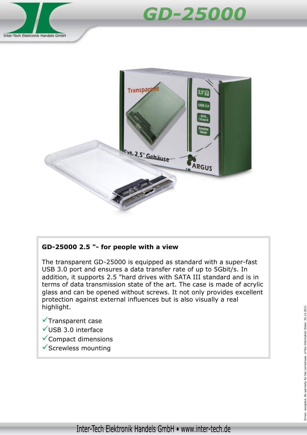





## **GD-25000 2.5 "- for people with a view**

The transparent GD-25000 is equipped as standard with a super-fast USB 3.0 port and ensures a data transfer rate of up to 5Gbit/s. In addition, it supports 2.5 "hard drives with SATA III standard and is in terms of data transmission state of the art. The case is made of acrylic glass and can be opened without screws. It not only provides excellent protection against external influences but is also visually a real highlight.

- $\checkmark$ Transparent case
- USB 3.0 interface
- $\checkmark$  Compact dimensions
- $\checkmark$  Screwless mounting